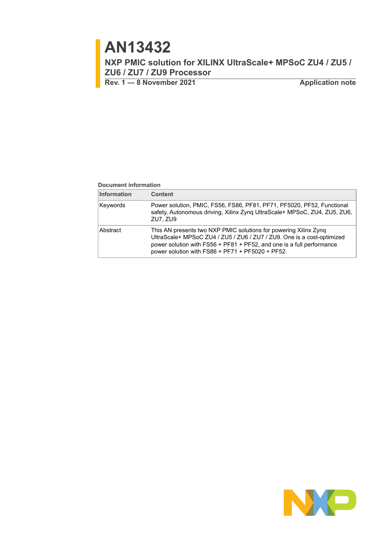# **AN13432**

**NXP PMIC solution for XILINX UltraScale+ MPSoC ZU4 / ZU5 / ZU6 / ZU7 / ZU9 Processor**

**Rev. 1 — 8 November 2021 Application note**

#### **Document information**

| <b>Information</b> | <b>Content</b>                                                                                                                                                                                                                                                             |
|--------------------|----------------------------------------------------------------------------------------------------------------------------------------------------------------------------------------------------------------------------------------------------------------------------|
| Keywords           | Power solution, PMIC, FS56, FS86, PF81, PF71, PF5020, PF52, Functional<br>safety, Autonomous driving, Xilinx Zyng UltraScale+ MPSoC, ZU4, ZU5, ZU6,<br>ZU7, ZU9                                                                                                            |
| Abstract           | This AN presents two NXP PMIC solutions for powering Xilinx Zynq<br>UltraScale+ MPSoC ZU4 / ZU5 / ZU6 / ZU7 / ZU9. One is a cost-optimized<br>power solution with FS56 + PF81 + PF52, and one is a full performance<br>power solution with $FSS6 + PF71 + PF5020 + PF52$ . |

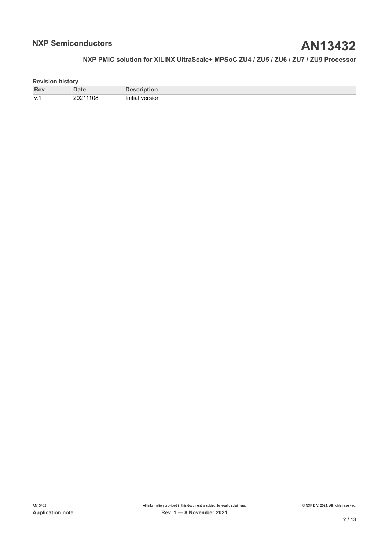#### **Revision history**

| <b>Rev</b> | alt          | ווטו                   |
|------------|--------------|------------------------|
| 1 V. T     | 1108<br>2021 | .<br>version<br>Initia |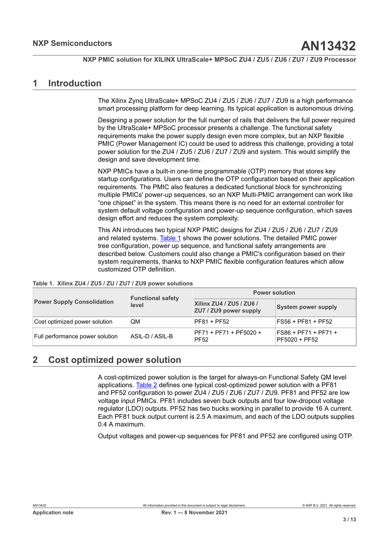### <span id="page-2-1"></span>**1 Introduction**

The Xilinx Zynq UltraScale+ MPSoC ZU4 / ZU5 / ZU6 / ZU7 / ZU9 is a high performance smart processing platform for deep learning. Its typical application is autonomous driving.

Designing a power solution for the full number of rails that delivers the full power required by the UltraScale+ MPSoC processor presents a challenge. The functional safety requirements make the power supply design even more complex, but an NXP flexible PMIC (Power Management IC) could be used to address this challenge, providing a total power solution for the ZU4 / ZU5 / ZU6 / ZU7 / ZU9 and system. This would simplify the design and save development time.

NXP PMICs have a built-in one-time programmable (OTP) memory that stores key startup configurations. Users can define the OTP configuration based on their application requirements. The PMIC also features a dedicated functional block for synchronizing multiple PMICs' power-up sequences, so an NXP Multi-PMIC arrangement can work like "one chipset" in the system. This means there is no need for an external controller for system default voltage configuration and power-up sequence configuration, which saves design effort and reduces the system complexity.

<span id="page-2-0"></span>This AN introduces two typical NXP PMIC designs for ZU4 / ZU5 / ZU6 / ZU7 / ZU9 and related systems. [Table](#page-2-0) 1 shows the power solutions. The detailed PMIC power tree configuration, power up sequence, and functional safety arrangements are described below. Customers could also change a PMIC's configuration based on their system requirements, thanks to NXP PMIC flexible configuration features which allow customized OTP definition.

#### **Table 1. Xilinx ZU4 / ZU5 / ZU / ZU7 / ZU9 power solutions**

|                                   | <b>Functional safety</b> | <b>Power solution</b>                              |                                         |  |
|-----------------------------------|--------------------------|----------------------------------------------------|-----------------------------------------|--|
| <b>Power Supply Consolidation</b> | level                    | Xilinx ZU4 / ZU5 / ZU6 /<br>ZU7 / ZU9 power supply | <b>System power supply</b>              |  |
| Cost optimized power solution     | QΜ                       | PF81 + PF52                                        | $FSS6 + PF81 + PF52$                    |  |
| Full performance power solution   | ASIL-D / ASIL-B          | PF71 + PF71 + PF5020 +<br>PF52                     | $FS86 + PF71 + PF71 +$<br>PF5020 + PF52 |  |

### <span id="page-2-2"></span>**2 Cost optimized power solution**

A cost-optimized power solution is the target for always-on Functional Safety QM level applications. [Table](#page-3-0) 2 defines one typical cost-optimized power solution with a PF81 and PF52 configuration to power ZU4 / ZU5 / ZU6 / ZU7 / ZU9. PF81 and PF52 are low voltage input PMICs. PF81 includes seven buck outputs and four low-dropout voltage regulator (LDO) outputs. PF52 has two bucks working in parallel to provide 16 A current. Each PF81 buck output current is 2.5 A maximum, and each of the LDO outputs supplies 0.4 A maximum.

Output voltages and power-up sequences for PF81 and PF52 are configured using OTP.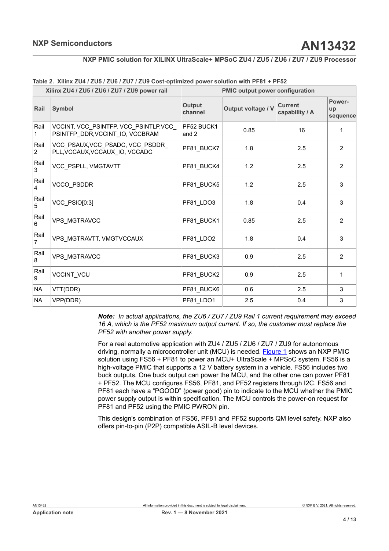|                        | Xilinx ZU4 / ZU5 / ZU6 / ZU7 / ZU9 power rail                             |                     | <b>PMIC output power configuration</b> |                                  |                          |  |
|------------------------|---------------------------------------------------------------------------|---------------------|----------------------------------------|----------------------------------|--------------------------|--|
| Rail                   | <b>Symbol</b>                                                             | Output<br>channel   | Output voltage / V                     | <b>Current</b><br>capability / A | Power-<br>up<br>sequence |  |
| Rail<br>1              | VCCINT, VCC_PSINTFP, VCC_PSINTLP, VCC_<br>PSINTFP DDR, VCCINT IO, VCCBRAM | PF52 BUCK1<br>and 2 | 0.85                                   | 16                               | 1                        |  |
| Rail<br>$\overline{2}$ | VCC PSAUX, VCC PSADC, VCC PSDDR<br>PLL, VCCAUX, VCCAUX_IO, VCCADC         | PF81_BUCK7          | 1.8                                    | 2.5                              | $\overline{2}$           |  |
| Rail<br>3              | VCC_PSPLL, VMGTAVTT                                                       | PF81_BUCK4          | 1.2                                    | 2.5                              | $\overline{2}$           |  |
| Rail<br>$\overline{4}$ | <b>VCCO PSDDR</b>                                                         | PF81_BUCK5          | 1.2                                    | 2.5                              | 3                        |  |
| Rail<br>$\sqrt{5}$     | VCC_PSIO[0:3]                                                             | PF81_LDO3           | 1.8                                    | 0.4                              | 3                        |  |
| Rail<br>6              | <b>VPS MGTRAVCC</b>                                                       | PF81 BUCK1          | 0.85                                   | 2.5                              | $\overline{2}$           |  |
| Rail<br>$\overline{7}$ | VPS_MGTRAVTT, VMGTVCCAUX                                                  | PF81 LDO2           | 1.8                                    | 0.4                              | 3                        |  |
| Rail<br>8              | VPS_MGTRAVCC                                                              | PF81_BUCK3          | 0.9                                    | 2.5                              | 2                        |  |
| Rail<br>9              | VCCINT_VCU                                                                | PF81 BUCK2          | 0.9                                    | 2.5                              | 1                        |  |
| <b>NA</b>              | VTT(DDR)                                                                  | PF81_BUCK6          | 0.6                                    | 2.5                              | 3                        |  |
| <b>NA</b>              | VPP(DDR)                                                                  | PF81_LDO1           | 2.5                                    | 0.4                              | $\mathsf 3$              |  |

<span id="page-3-0"></span>

|  |  |  |  |  |  | Table 2. Xilinx ZU4 / ZU5 / ZU6 / ZU7 / ZU9 Cost-optimized power solution with PF81 + PF52 |
|--|--|--|--|--|--|--------------------------------------------------------------------------------------------|
|--|--|--|--|--|--|--------------------------------------------------------------------------------------------|

*Note: In actual applications, the ZU6 / ZU7 / ZU9 Rail 1 current requirement may exceed 16 A, which is the PF52 maximum output current. If so, the customer must replace the PF52 with another power supply.*

For a real automotive application with ZU4 / ZU5 / ZU6 / ZU7 / ZU9 for autonomous driving, normally a microcontroller unit (MCU) is needed. [Figure 1](#page-4-0) shows an NXP PMIC solution using FS56 + PF81 to power an MCU+ UltraScale + MPSoC system. FS56 is a high-voltage PMIC that supports a 12 V battery system in a vehicle. FS56 includes two buck outputs. One buck output can power the MCU, and the other one can power PF81 + PF52. The MCU configures FS56, PF81, and PF52 registers through I2C. FS56 and PF81 each have a "PGOOD" (power good) pin to indicate to the MCU whether the PMIC power supply output is within specification. The MCU controls the power-on request for PF81 and PF52 using the PMIC PWRON pin.

This design's combination of FS56, PF81 and PF52 supports QM level safety. NXP also offers pin-to-pin (P2P) compatible ASIL-B level devices.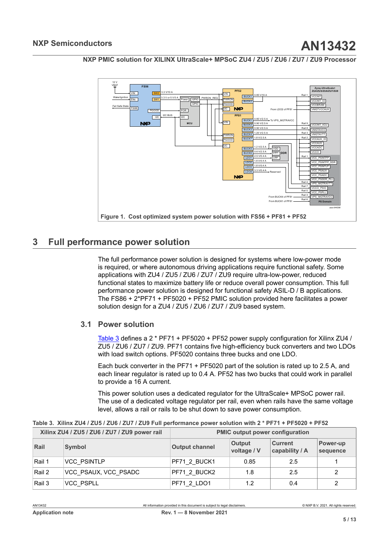

<span id="page-4-0"></span>

## <span id="page-4-2"></span>**3 Full performance power solution**

The full performance power solution is designed for systems where low-power mode is required, or where autonomous driving applications require functional safety. Some applications with ZU4 / ZU5 / ZU6 / ZU7 / ZU9 require ultra-low-power, reduced functional states to maximize battery life or reduce overall power consumption. This full performance power solution is designed for functional safety ASIL-D / B applications. The FS86 + 2\*PF71 + PF5020 + PF52 PMIC solution provided here facilitates a power solution design for a ZU4 / ZU5 / ZU6 / ZU7 / ZU9 based system.

### **3.1 Power solution**

<span id="page-4-3"></span>[Table](#page-4-1) 3 defines a 2 \* PF71 + PF5020 + PF52 power supply configuration for Xilinx ZU4 / ZU5 / ZU6 / ZU7 / ZU9. PF71 contains five high-efficiency buck converters and two LDOs with load switch options. PF5020 contains three bucks and one LDO.

Each buck converter in the PF71 + PF5020 part of the solution is rated up to 2.5 A, and each linear regulator is rated up to 0.4 A. PF52 has two bucks that could work in parallel to provide a 16 A current.

<span id="page-4-1"></span>This power solution uses a dedicated regulator for the UltraScale+ MPSoC power rail. The use of a dedicated voltage regulator per rail, even when rails have the same voltage level, allows a rail or rails to be shut down to save power consumption.

| Xilinx ZU4 / ZU5 / ZU6 / ZU7 / ZU9 power rail |                      | <b>PMIC output power configuration</b> |                              |                                  |                      |  |
|-----------------------------------------------|----------------------|----------------------------------------|------------------------------|----------------------------------|----------------------|--|
| Rail                                          | <b>Symbol</b>        | <b>Output channel</b>                  | <b>Output</b><br>voltage / V | <b>Current</b><br>capability / A | Power-up<br>sequence |  |
| Rail 1                                        | <b>VCC PSINTLP</b>   | PF71 2 BUCK1                           | 0.85                         | 2.5                              |                      |  |
| Rail 2                                        | VCC_PSAUX, VCC_PSADC | PF71 2 BUCK2                           | 1.8                          | 2.5                              | 2                    |  |
| Rail 3                                        | VCC PSPLL            | PF71 2 LDO1                            | 1.2                          | 0.4                              | 2                    |  |

Table 3. Xilinx ZU4 / ZU5 / ZU6 / ZU7 / ZU9 Full performance power solution with 2 \* PF71 + PF5020 + PF52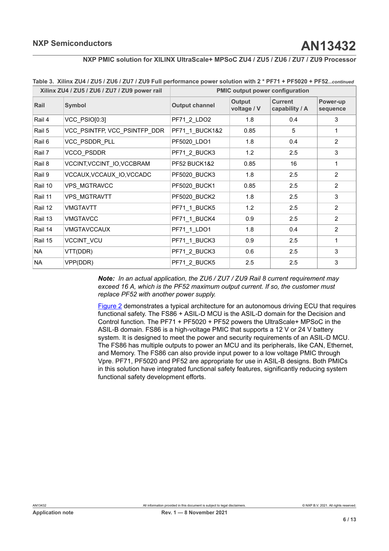| Xilinx ZU4 / ZU5 / ZU6 / ZU7 / ZU9 power rail |                              | <b>PMIC output power configuration</b> |                       |                                  |                      |
|-----------------------------------------------|------------------------------|----------------------------------------|-----------------------|----------------------------------|----------------------|
| Rail                                          | <b>Symbol</b>                | <b>Output channel</b>                  | Output<br>voltage / V | <b>Current</b><br>capability / A | Power-up<br>sequence |
| Rail 4                                        | VCC PSIO[0:3]                | PF71_2_LDO2                            | 1.8                   | 0.4                              | 3                    |
| Rail 5                                        | VCC_PSINTFP, VCC_PSINTFP_DDR | PF71_1_BUCK1&2                         | 0.85                  | 5                                | 1                    |
| Rail 6                                        | VCC PSDDR PLL                | PF5020_LDO1                            | 1.8                   | 0.4                              | 2                    |
| Rail 7                                        | <b>VCCO PSDDR</b>            | PF71_2_BUCK3                           | 1.2                   | 2.5                              | 3                    |
| Rail 8                                        | VCCINT, VCCINT IO, VCCBRAM   | <b>PF52 BUCK1&amp;2</b>                | 0.85                  | 16                               | 1                    |
| Rail 9                                        | VCCAUX, VCCAUX_IO, VCCADC    | PF5020 BUCK3                           | 1.8                   | 2.5                              | $\overline{2}$       |
| Rail 10                                       | VPS MGTRAVCC                 | PF5020_BUCK1                           | 0.85                  | 2.5                              | 2                    |
| Rail 11                                       | <b>VPS MGTRAVTT</b>          | PF5020 BUCK2                           | 1.8                   | 2.5                              | 3                    |
| Rail 12                                       | <b>VMGTAVTT</b>              | PF71 1 BUCK5                           | 1.2                   | 2.5                              | $\overline{2}$       |
| Rail 13                                       | <b>VMGTAVCC</b>              | PF71_1_BUCK4                           | 0.9                   | 2.5                              | 2                    |
| Rail 14                                       | <b>VMGTAVCCAUX</b>           | PF71_1_LDO1                            | 1.8                   | 0.4                              | 2                    |
| Rail 15                                       | VCCINT_VCU                   | PF71_1_BUCK3                           | 0.9                   | 2.5                              | 1                    |
| <b>NA</b>                                     | VTT(DDR)                     | PF71_2_BUCK3                           | 0.6                   | 2.5                              | 3                    |
| <b>NA</b>                                     | VPP(DDR)                     | PF71_2_BUCK5                           | 2.5                   | 2.5                              | 3                    |

|  | Table 3. Xilinx ZU4 / ZU5 / ZU6 / ZU7 / ZU9 Full performance power solution with 2 * PF71 + PF5020 + PF52continued |  |  |
|--|--------------------------------------------------------------------------------------------------------------------|--|--|
|  |                                                                                                                    |  |  |

*Note: In an actual application, the ZU6 / ZU7 / ZU9 Rail 8 current requirement may exceed 16 A, which is the PF52 maximum output current. If so, the customer must replace PF52 with another power supply.*

[Figure 2](#page-6-0) demonstrates a typical architecture for an autonomous driving ECU that requires functional safety. The FS86 + ASIL-D MCU is the ASIL-D domain for the Decision and Control function. The PF71 + PF5020 + PF52 powers the UltraScale+ MPSoC in the ASIL-B domain. FS86 is a high-voltage PMIC that supports a 12 V or 24 V battery system. It is designed to meet the power and security requirements of an ASIL-D MCU. The FS86 has multiple outputs to power an MCU and its peripherals, like CAN, Ethernet, and Memory. The FS86 can also provide input power to a low voltage PMIC through Vpre. PF71, PF5020 and PF52 are appropriate for use in ASIL-B designs. Both PMICs in this solution have integrated functional safety features, significantly reducing system functional safety development efforts.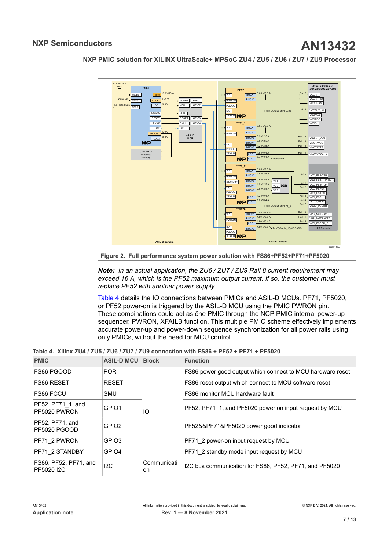

<span id="page-6-0"></span>

*Note: In an actual application, the ZU6 / ZU7 / ZU9 Rail 8 current requirement may exceed 16 A, which is the PF52 maximum output current. If so, the customer must replace PF52 with another power supply.*

<span id="page-6-1"></span>[Table](#page-6-1) 4 details the IO connections between PMICs and ASIL-D MCUs. PF71, PF5020, or PF52 power-on is triggered by the ASIL-D MCU using the PMIC PWRON pin. These combinations could act as öne PMIC through the NCP PMIC internal power-up sequencer, PWRON, XFAILB function. This multiple PMIC scheme effectively implements accurate power-up and power-down sequence synchronization for all power rails using only PMICs, without the need for MCU control.

Table 4. Xilinx ZU4 / ZU5 / ZU6 / ZU7 / ZU9 connection with FS86 + PF52 + PF71 + PF5020

| <b>PMIC</b>                            | <b>ASIL-D MCU</b> | <b>Block</b>                           | <b>Function</b>                                            |
|----------------------------------------|-------------------|----------------------------------------|------------------------------------------------------------|
| FS86 PGOOD                             | <b>POR</b>        |                                        | FS86 power good output which connect to MCU hardware reset |
| FS86 RESET                             | <b>RESET</b>      |                                        | FS86 reset output which connect to MCU software reset      |
| <b>FS86 FCCU</b>                       | <b>SMU</b>        |                                        | FS86 monitor MCU hardware fault                            |
| PF52, PF71 1, and<br>PF5020 PWRON      | GPIO1             | IO                                     | PF52, PF71 1, and PF5020 power on input request by MCU     |
| PF52, PF71, and<br><b>PF5020 PGOOD</b> | GPIO <sub>2</sub> | PF52&&PF71&PF5020 power good indicator |                                                            |
| PF71 2 PWRON                           | GPIO3             |                                        | PF71 2 power-on input request by MCU                       |
| PF71 2 STANDBY                         | GPIO4             |                                        | PF71 2 standby mode input request by MCU                   |
| FS86, PF52, PF71, and<br>PF502012C     | 12C               | Communicati<br>on.                     | I2C bus communication for FS86, PF52, PF71, and PF5020     |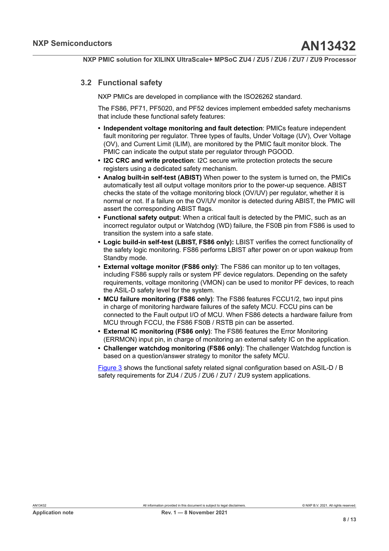### **3.2 Functional safety**

<span id="page-7-0"></span>NXP PMICs are developed in compliance with the ISO26262 standard.

The FS86, PF71, PF5020, and PF52 devices implement embedded safety mechanisms that include these functional safety features:

- **• Independent voltage monitoring and fault detection**: PMICs feature independent fault monitoring per regulator. Three types of faults, Under Voltage (UV), Over Voltage (OV), and Current Limit (ILIM), are monitored by the PMIC fault monitor block. The PMIC can indicate the output state per regulator through PGOOD.
- **• I2C CRC and write protection**: I2C secure write protection protects the secure registers using a dedicated safety mechanism.
- **• Analog built-in self-test (ABIST)** When power to the system is turned on, the PMICs automatically test all output voltage monitors prior to the power-up sequence. ABIST checks the state of the voltage monitoring block (OV/UV) per regulator, whether it is normal or not. If a failure on the OV/UV monitor is detected during ABIST, the PMIC will assert the corresponding ABIST flags.
- **• Functional safety output**: When a critical fault is detected by the PMIC, such as an incorrect regulator output or Watchdog (WD) failure, the FS0B pin from FS86 is used to transition the system into a safe state.
- **• Logic build-in self-test (LBIST, FS86 only):** LBIST verifies the correct functionality of the safety logic monitoring. FS86 performs LBIST after power on or upon wakeup from Standby mode.
- **• External voltage monitor (FS86 only)**: The FS86 can monitor up to ten voltages, including FS86 supply rails or system PF device regulators. Depending on the safety requirements, voltage monitoring (VMON) can be used to monitor PF devices, to reach the ASIL-D safety level for the system.
- **• MCU failure monitoring (FS86 only)**: The FS86 features FCCU1/2, two input pins in charge of monitoring hardware failures of the safety MCU. FCCU pins can be connected to the Fault output I/O of MCU. When FS86 detects a hardware failure from MCU through FCCU, the FS86 FS0B / RSTB pin can be asserted.
- **• External IC monitoring (FS86 only)**: The FS86 features the Error Monitoring (ERRMON) input pin, in charge of monitoring an external safety IC on the application.
- **• Challenger watchdog monitoring (FS86 only)**: The challenger Watchdog function is based on a question/answer strategy to monitor the safety MCU.

[Figure 3](#page-8-0) shows the functional safety related signal configuration based on ASIL-D / B safety requirements for ZU4 / ZU5 / ZU6 / ZU7 / ZU9 system applications.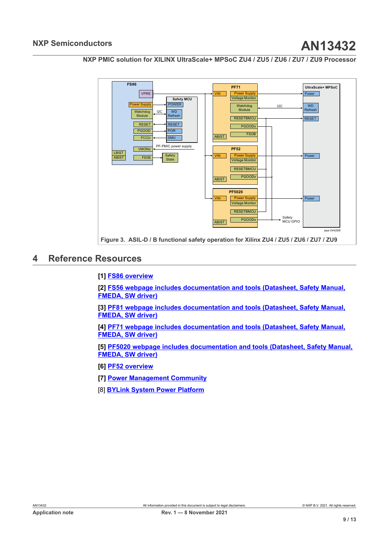<span id="page-8-0"></span>

# <span id="page-8-1"></span>**4 Reference Resources**

### **[1] [FS86 overview](https://www.nxp.com/products/power-management/pmics-and-sbcs/safety-sbcs/safety-system-basis-chip-for-domain-controller-fit-for-asil-b-and-d:FS86)**

**[2] [FS56 webpage includes documentation and tools \(Datasheet, Safety Manual,](https://www.nxp.com/products/power-management/pmics-and-sbcs/safety-sbcs/fs56-automotive-dual-buck-regulator-and-controller-with-voltage-monitors-and-watchdog-timer:FS5600) [FMEDA, SW driver\)](https://www.nxp.com/products/power-management/pmics-and-sbcs/safety-sbcs/fs56-automotive-dual-buck-regulator-and-controller-with-voltage-monitors-and-watchdog-timer:FS5600)**

**[3] [PF81 webpage includes documentation and tools \(Datasheet, Safety Manual,](https://www.nxp.com/products/power-management/pmics-and-sbcs/pmics/12-channel-power-management-integrated-circuit-pmic-for-high-performance-processing-applications:PF8100-PF8200) [FMEDA, SW driver\)](https://www.nxp.com/products/power-management/pmics-and-sbcs/pmics/12-channel-power-management-integrated-circuit-pmic-for-high-performance-processing-applications:PF8100-PF8200)**

**[4] [PF71 webpage includes documentation and tools \(Datasheet, Safety Manual,](https://www.nxp.com/products/power-management/pmics-and-sbcs/pmics/7-channel-power-management-integrated-circuit-for-high-performance-applications-fit-for-asil-b-safety-level:PF7100) [FMEDA, SW driver\)](https://www.nxp.com/products/power-management/pmics-and-sbcs/pmics/7-channel-power-management-integrated-circuit-for-high-performance-applications-fit-for-asil-b-safety-level:PF7100)**

**[5] [PF5020 webpage includes documentation and tools \(Datasheet, Safety Manual,](https://www.nxp.com/products/power-management/pmics-and-sbcs/pmics/multi-channel-5-pmic-for-automotive-applications-4-high-power-and-1-low-power-fit-for-asil-b-safety-level:PF5020) [FMEDA, SW driver\)](https://www.nxp.com/products/power-management/pmics-and-sbcs/pmics/multi-channel-5-pmic-for-automotive-applications-4-high-power-and-1-low-power-fit-for-asil-b-safety-level:PF5020)**

**[6] [PF52 overview](https://www.nxp.com/products/power-management/pmics-and-sbcs/pmics/dual-channel-pmic-for-automotive-applications-2-high-efficient-lvbuck-fit-for-asil-b-safety-level:PF5200)**

**[7] [Power Management Community](https://community.nxp.com/community/Power-Management)**

[8] **[BYLink System Power Platform](https://www.nxp.com/products/product-information/bylink-system-power-platform:BYLINK?tid=FSHBNR_20210804)**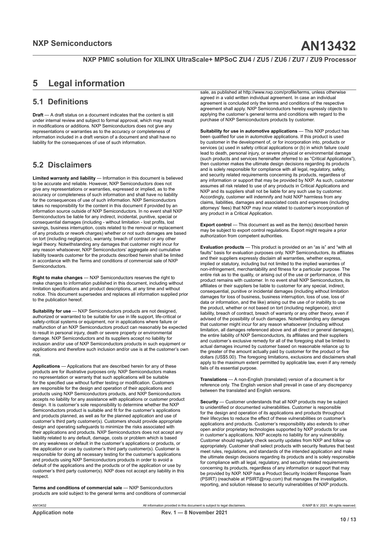# <span id="page-9-0"></span>**5 Legal information**

### **5.1 Definitions**

**Draft** — A draft status on a document indicates that the content is still under internal review and subject to formal approval, which may result in modifications or additions. NXP Semiconductors does not give any representations or warranties as to the accuracy or completeness of information included in a draft version of a document and shall have no liability for the consequences of use of such information.

### **5.2 Disclaimers**

**Limited warranty and liability** — Information in this document is believed to be accurate and reliable. However, NXP Semiconductors does not give any representations or warranties, expressed or implied, as to the accuracy or completeness of such information and shall have no liability for the consequences of use of such information. NXP Semiconductors takes no responsibility for the content in this document if provided by an information source outside of NXP Semiconductors. In no event shall NXP Semiconductors be liable for any indirect, incidental, punitive, special or consequential damages (including - without limitation - lost profits, lost savings, business interruption, costs related to the removal or replacement of any products or rework charges) whether or not such damages are based on tort (including negligence), warranty, breach of contract or any other legal theory. Notwithstanding any damages that customer might incur for any reason whatsoever, NXP Semiconductors' aggregate and cumulative liability towards customer for the products described herein shall be limited in accordance with the Terms and conditions of commercial sale of NXP Semiconductors.

**Right to make changes** — NXP Semiconductors reserves the right to make changes to information published in this document, including without limitation specifications and product descriptions, at any time and without notice. This document supersedes and replaces all information supplied prior to the publication hereof.

**Suitability for use** — NXP Semiconductors products are not designed, authorized or warranted to be suitable for use in life support, life-critical or safety-critical systems or equipment, nor in applications where failure or malfunction of an NXP Semiconductors product can reasonably be expected to result in personal injury, death or severe property or environmental damage. NXP Semiconductors and its suppliers accept no liability for inclusion and/or use of NXP Semiconductors products in such equipment or applications and therefore such inclusion and/or use is at the customer's own risk.

**Applications** — Applications that are described herein for any of these products are for illustrative purposes only. NXP Semiconductors makes no representation or warranty that such applications will be suitable for the specified use without further testing or modification. Customers are responsible for the design and operation of their applications and products using NXP Semiconductors products, and NXP Semiconductors accepts no liability for any assistance with applications or customer product design. It is customer's sole responsibility to determine whether the NXP Semiconductors product is suitable and fit for the customer's applications and products planned, as well as for the planned application and use of customer's third party customer(s). Customers should provide appropriate design and operating safeguards to minimize the risks associated with their applications and products. NXP Semiconductors does not accept any liability related to any default, damage, costs or problem which is based on any weakness or default in the customer's applications or products, or the application or use by customer's third party customer(s). Customer is responsible for doing all necessary testing for the customer's applications and products using NXP Semiconductors products in order to avoid a default of the applications and the products or of the application or use by customer's third party customer(s). NXP does not accept any liability in this respect.

**Terms and conditions of commercial sale** — NXP Semiconductors products are sold subject to the general terms and conditions of commercial

sale, as published at http://www.nxp.com/profile/terms, unless otherwise agreed in a valid written individual agreement. In case an individual agreement is concluded only the terms and conditions of the respective agreement shall apply. NXP Semiconductors hereby expressly objects to applying the customer's general terms and conditions with regard to the purchase of NXP Semiconductors products by customer.

**Suitability for use in automotive applications** — This NXP product has been qualified for use in automotive applications. If this product is used by customer in the development of, or for incorporation into, products or services (a) used in safety critical applications or (b) in which failure could lead to death, personal injury, or severe physical or environmental damage (such products and services hereinafter referred to as "Critical Applications"), then customer makes the ultimate design decisions regarding its products and is solely responsible for compliance with all legal, regulatory, safety, and is select to respect the complements concerning its products, regardless of any information or support that may be provided by NXP. As such, customer assumes all risk related to use of any products in Critical Applications and NXP and its suppliers shall not be liable for any such use by customer. Accordingly, customer will indemnify and hold NXP harmless from any claims, liabilities, damages and associated costs and expenses (including attorneys' fees) that NXP may incur related to customer's incorporation of any product in a Critical Application.

**Export control** — This document as well as the item(s) described herein may be subject to export control regulations. Export might require a prior authorization from competent authorities.

**Evaluation products** — This product is provided on an "as is" and "with all faults" basis for evaluation purposes only. NXP Semiconductors, its affiliates and their suppliers expressly disclaim all warranties, whether express, implied or statutory, including but not limited to the implied warranties of non-infringement, merchantability and fitness for a particular purpose. The entire risk as to the quality, or arising out of the use or performance, of this product remains with customer. In no event shall NXP Semiconductors, its affiliates or their suppliers be liable to customer for any special, indirect, consequential, punitive or incidental damages (including without limitation damages for loss of business, business interruption, loss of use, loss of data or information, and the like) arising out the use of or inability to use the product, whether or not based on tort (including negligence), strict liability, breach of contract, breach of warranty or any other theory, even if advised of the possibility of such damages. Notwithstanding any damages that customer might incur for any reason whatsoever (including without limitation, all damages referenced above and all direct or general damages), the entire liability of NXP Semiconductors, its affiliates and their suppliers and customer's exclusive remedy for all of the foregoing shall be limited to actual damages incurred by customer based on reasonable reliance up to the greater of the amount actually paid by customer for the product or five dollars (US\$5.00). The foregoing limitations, exclusions and disclaimers shall apply to the maximum extent permitted by applicable law, even if any remedy fails of its essential purpose.

**Translations** — A non-English (translated) version of a document is for reference only. The English version shall prevail in case of any discrepancy between the translated and English versions.

**Security** — Customer understands that all NXP products may be subject to unidentified or documented vulnerabilities. Customer is responsible for the design and operation of its applications and products throughout their lifecycles to reduce the effect of these vulnerabilities on customer's applications and products. Customer's responsibility also extends to other open and/or proprietary technologies supported by NXP products for use in customer's applications. NXP accepts no liability for any vulnerability. Customer should regularly check security updates from NXP and follow up appropriately. Customer shall select products with security features that best meet rules, regulations, and standards of the intended application and make the ultimate design decisions regarding its products and is solely responsible for compliance with all legal, regulatory, and security related requirements concerning its products, regardless of any information or support that may be provided by NXP. NXP has a Product Security Incident Response Team (PSIRT) (reachable at PSIRT@nxp.com) that manages the investigation, reporting, and solution release to security vulnerabilities of NXP products.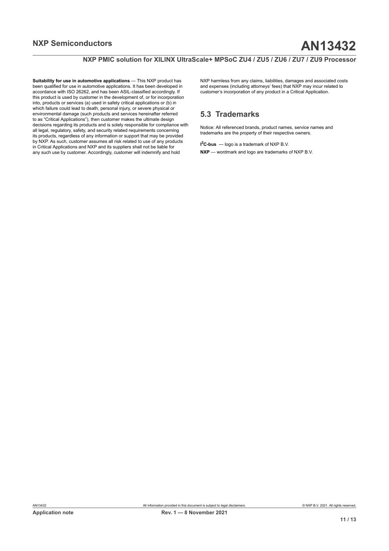**Suitability for use in automotive applications** — This NXP product has been qualified for use in automotive applications. It has been developed in accordance with ISO 26262, and has been ASIL-classified accordingly. If this product is used by customer in the development of, or for incorporation into, products or services (a) used in safety critical applications or (b) in which failure could lead to death, personal injury, or severe physical or environmental damage (such products and services hereinafter referred to as "Critical Applications"), then customer makes the ultimate design decisions regarding its products and is solely responsible for compliance with all legal, regulatory, safety, and security related requirements concerning its products, regardless of any information or support that may be provided by NXP. As such, customer assumes all risk related to use of any products in Critical Applications and NXP and its suppliers shall not be liable for any such use by customer. Accordingly, customer will indemnify and hold

NXP harmless from any claims, liabilities, damages and associated costs and expenses (including attorneys' fees) that NXP may incur related to customer's incorporation of any product in a Critical Application.

### **5.3 Trademarks**

Notice: All referenced brands, product names, service names and trademarks are the property of their respective owners.

**I <sup>2</sup>C-bus** — logo is a trademark of NXP B.V. **NXP** — wordmark and logo are trademarks of NXP B.V.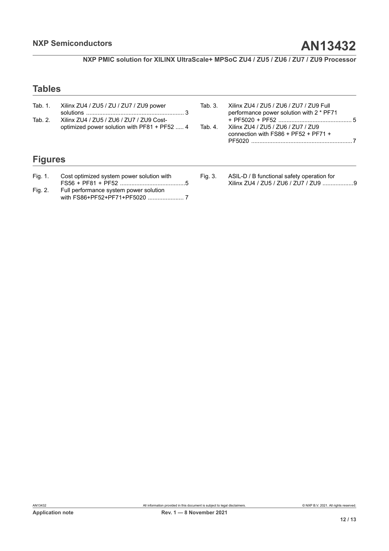# **Tables**

| Tab. 1.<br>Tab. 2. | Xilinx ZU4 / ZU5 / ZU / ZU7 / ZU9 power<br>Xilinx ZU4 / ZU5 / ZU6 / ZU7 / ZU9 Cost-<br>optimized power solution with PF81 + PF52  4 |         | Xilinx ZU4 / ZU5 / ZU6 / ZU7 / ZU9 Full<br>performance power solution with 2 * PF71<br>Xilinx ZU4 / ZU5 / ZU6 / ZU7 / ZU9<br>connection with $FSS6 + PF52 + PF71 +$ |  |
|--------------------|-------------------------------------------------------------------------------------------------------------------------------------|---------|---------------------------------------------------------------------------------------------------------------------------------------------------------------------|--|
| <b>Figures</b>     |                                                                                                                                     |         |                                                                                                                                                                     |  |
| Fig. 1.            | Cost optimized system power solution with                                                                                           | Fig. 3. | ASIL-D / B functional safety operation for                                                                                                                          |  |
| Fig. 2.            | Full performance system power solution                                                                                              |         |                                                                                                                                                                     |  |